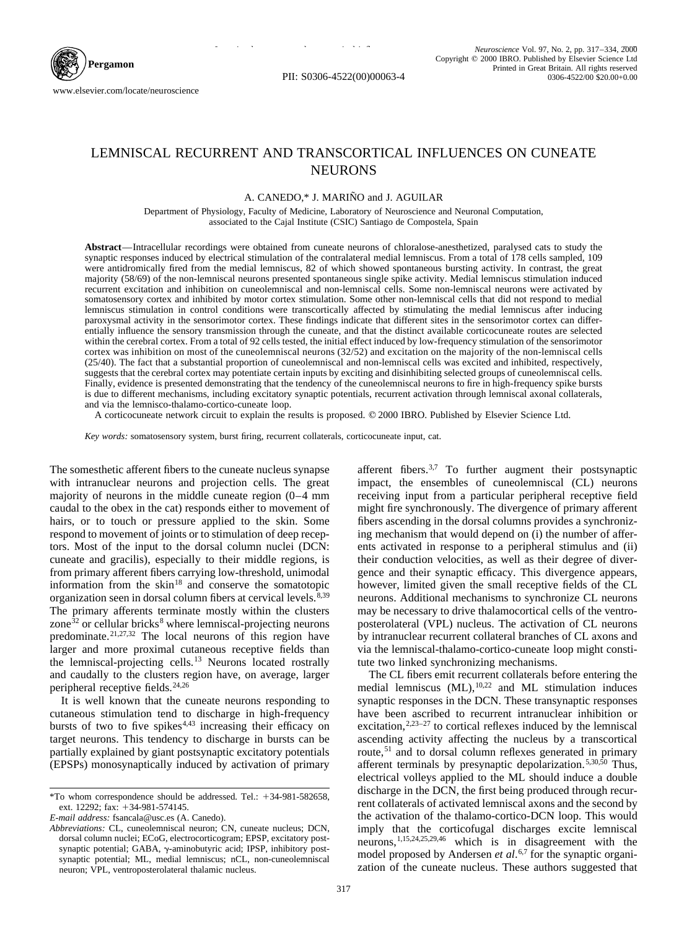

# LEMNISCAL RECURRENT AND TRANSCORTICAL INFLUENCES ON CUNEATE NEURONS

PII: S0306-4522(00)00063-4

### A. CANEDO,\* J. MARIÑO and J. AGUILAR

Department of Physiology, Faculty of Medicine, Laboratory of Neuroscience and Neuronal Computation, associated to the Cajal Institute (CSIC) Santiago de Compostela, Spain

**Abstract**—Intracellular recordings were obtained from cuneate neurons of chloralose-anesthetized, paralysed cats to study the synaptic responses induced by electrical stimulation of the contralateral medial lemniscus. From a total of 178 cells sampled, 109 were antidromically fired from the medial lemniscus, 82 of which showed spontaneous bursting activity. In contrast, the great majority (58/69) of the non-lemniscal neurons presented spontaneous single spike activity. Medial lemniscus stimulation induced recurrent excitation and inhibition on cuneolemniscal and non-lemniscal cells. Some non-lemniscal neurons were activated by somatosensory cortex and inhibited by motor cortex stimulation. Some other non-lemniscal cells that did not respond to medial lemniscus stimulation in control conditions were transcortically affected by stimulating the medial lemniscus after inducing paroxysmal activity in the sensorimotor cortex. These findings indicate that different sites in the sensorimotor cortex can differentially influence the sensory transmission through the cuneate, and that the distinct available corticocuneate routes are selected within the cerebral cortex. From a total of 92 cells tested, the initial effect induced by low-frequency stimulation of the sensorimotor cortex was inhibition on most of the cuneolemniscal neurons (32/52) and excitation on the majority of the non-lemniscal cells (25/40). The fact that a substantial proportion of cuneolemniscal and non-lemniscal cells was excited and inhibited, respectively, suggests that the cerebral cortex may potentiate certain inputs by exciting and disinhibiting selected groups of cuneolemniscal cells. Finally, evidence is presented demonstrating that the tendency of the cuneolemniscal neurons to fire in high-frequency spike bursts is due to different mechanisms, including excitatory synaptic potentials, recurrent activation through lemniscal axonal collaterals, and via the lemnisco-thalamo-cortico-cuneate loop.

A corticocuneate network circuit to explain the results is proposed. q 2000 IBRO. Published by Elsevier Science Ltd.

*Key words:* somatosensory system, burst firing, recurrent collaterals, corticocuneate input, cat.

The somesthetic afferent fibers to the cuneate nucleus synapse with intranuclear neurons and projection cells. The great majority of neurons in the middle cuneate region (0–4 mm caudal to the obex in the cat) responds either to movement of hairs, or to touch or pressure applied to the skin. Some respond to movement of joints or to stimulation of deep receptors. Most of the input to the dorsal column nuclei (DCN: cuneate and gracilis), especially to their middle regions, is from primary afferent fibers carrying low-threshold, unimodal information from the  $skin^{18}$  and conserve the somatotopic organization seen in dorsal column fibers at cervical levels. ${}^{8,39}$ The primary afferents terminate mostly within the clusters zone $32$  or cellular bricks<sup>8</sup> where lemniscal-projecting neurons predominate.<sup>21,27,32</sup> The local neurons of this region have larger and more proximal cutaneous receptive fields than the lemniscal-projecting cells.13 Neurons located rostrally and caudally to the clusters region have, on average, larger peripheral receptive fields.24,26

It is well known that the cuneate neurons responding to cutaneous stimulation tend to discharge in high-frequency bursts of two to five spikes $4,43$  increasing their efficacy on target neurons. This tendency to discharge in bursts can be partially explained by giant postsynaptic excitatory potentials (EPSPs) monosynaptically induced by activation of primary

\*To whom correspondence should be addressed. Tel.:  $+34-981-582658$ , ext. 12292; fax: +34-981-574145.

*E-mail address:* fsancala@usc.es (A. Canedo).

afferent fibers.3,7 To further augment their postsynaptic impact, the ensembles of cuneolemniscal (CL) neurons receiving input from a particular peripheral receptive field might fire synchronously. The divergence of primary afferent fibers ascending in the dorsal columns provides a synchronizing mechanism that would depend on (i) the number of afferents activated in response to a peripheral stimulus and (ii) their conduction velocities, as well as their degree of divergence and their synaptic efficacy. This divergence appears, however, limited given the small receptive fields of the CL neurons. Additional mechanisms to synchronize CL neurons may be necessary to drive thalamocortical cells of the ventroposterolateral (VPL) nucleus. The activation of CL neurons by intranuclear recurrent collateral branches of CL axons and via the lemniscal-thalamo-cortico-cuneate loop might constitute two linked synchronizing mechanisms.

The CL fibers emit recurrent collaterals before entering the medial lemniscus  $(ML)$ ,<sup>10,22</sup> and ML stimulation induces synaptic responses in the DCN. These transynaptic responses have been ascribed to recurrent intranuclear inhibition or excitation,<sup>2,23-27</sup> to cortical reflexes induced by the lemniscal ascending activity affecting the nucleus by a transcortical route,51 and to dorsal column reflexes generated in primary afferent terminals by presynaptic depolarization.<sup>5,30,50</sup> Thus, electrical volleys applied to the ML should induce a double discharge in the DCN, the first being produced through recurrent collaterals of activated lemniscal axons and the second by the activation of the thalamo-cortico-DCN loop. This would imply that the corticofugal discharges excite lemniscal neurons,1,15,24,25,29,46 which is in disagreement with the model proposed by Andersen *et al*. 6,7 for the synaptic organization of the cuneate nucleus. These authors suggested that

*Abbreviations:* CL, cuneolemniscal neuron; CN, cuneate nucleus; DCN, dorsal column nuclei; ECoG, electrocorticogram; EPSP, excitatory postsynaptic potential; GABA,  $\gamma$ -aminobutyric acid; IPSP, inhibitory postsynaptic potential; ML, medial lemniscus; nCL, non-cuneolemniscal neuron; VPL, ventroposterolateral thalamic nucleus.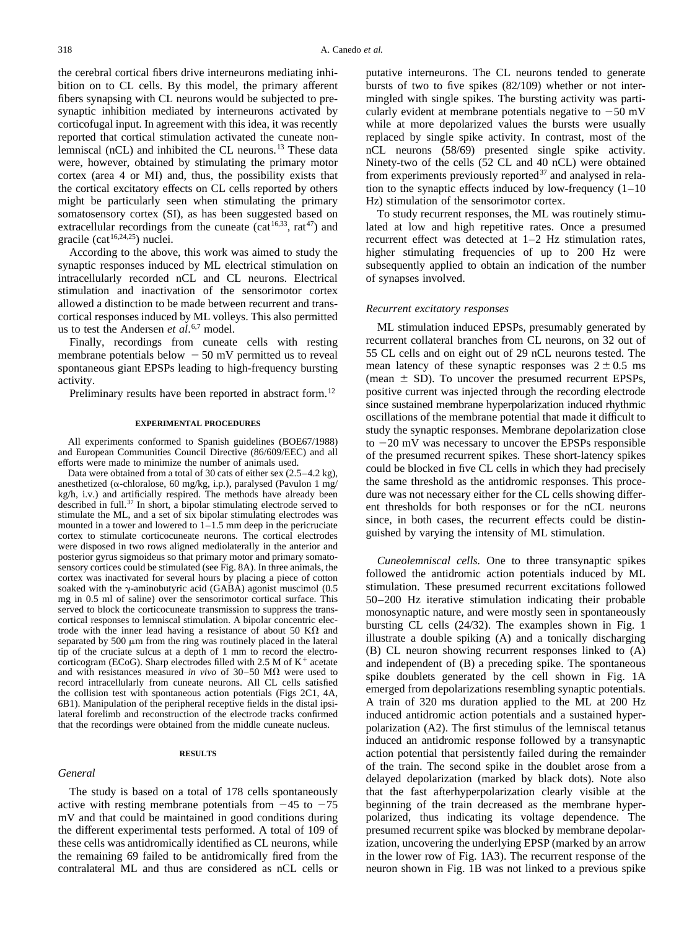the cerebral cortical fibers drive interneurons mediating inhibition on to CL cells. By this model, the primary afferent fibers synapsing with CL neurons would be subjected to presynaptic inhibition mediated by interneurons activated by corticofugal input. In agreement with this idea, it was recently reported that cortical stimulation activated the cuneate nonlemniscal (nCL) and inhibited the CL neurons.13 These data were, however, obtained by stimulating the primary motor cortex (area 4 or MI) and, thus, the possibility exists that the cortical excitatory effects on CL cells reported by others might be particularly seen when stimulating the primary somatosensory cortex (SI), as has been suggested based on extracellular recordings from the cuneate (cat<sup>16,33</sup>, rat<sup>47</sup>) and gracile (cat<sup>16,24,25</sup>) nuclei.

According to the above, this work was aimed to study the synaptic responses induced by ML electrical stimulation on intracellularly recorded nCL and CL neurons. Electrical stimulation and inactivation of the sensorimotor cortex allowed a distinction to be made between recurrent and transcortical responses induced by ML volleys. This also permitted us to test the Andersen *et al*. 6,7 model.

Finally, recordings from cuneate cells with resting membrane potentials below  $-50$  mV permitted us to reveal spontaneous giant EPSPs leading to high-frequency bursting activity.

Preliminary results have been reported in abstract form.<sup>12</sup>

#### **EXPERIMENTAL PROCEDURES**

All experiments conformed to Spanish guidelines (BOE67/1988) and European Communities Council Directive (86/609/EEC) and all efforts were made to minimize the number of animals used.

Data were obtained from a total of 30 cats of either sex (2.5–4.2 kg), anesthetized (a-chloralose, 60 mg/kg, i.p.), paralysed (Pavulon 1 mg/ kg/h, i.v.) and artificially respired. The methods have already been described in full.37 In short, a bipolar stimulating electrode served to stimulate the ML, and a set of six bipolar stimulating electrodes was mounted in a tower and lowered to  $1-1.5$  mm deep in the pericruciate cortex to stimulate corticocuneate neurons. The cortical electrodes were disposed in two rows aligned mediolaterally in the anterior and posterior gyrus sigmoideus so that primary motor and primary somatosensory cortices could be stimulated (see Fig. 8A). In three animals, the cortex was inactivated for several hours by placing a piece of cotton soaked with the  $\gamma$ -aminobutyric acid (GABA) agonist muscimol (0.5 mg in 0.5 ml of saline) over the sensorimotor cortical surface. This served to block the corticocuneate transmission to suppress the transcortical responses to lemniscal stimulation. A bipolar concentric electrode with the inner lead having a resistance of about 50 K $\Omega$  and separated by  $500 \mu m$  from the ring was routinely placed in the lateral tip of the cruciate sulcus at a depth of 1 mm to record the electrocorticogram (ECoG). Sharp electrodes filled with 2.5 M of  $K^+$  acetate and with resistances measured *in vivo* of  $30-50$  M $\Omega$  were used to record intracellularly from cuneate neurons. All CL cells satisfied the collision test with spontaneous action potentials (Figs 2C1, 4A, 6B1). Manipulation of the peripheral receptive fields in the distal ipsilateral forelimb and reconstruction of the electrode tracks confirmed that the recordings were obtained from the middle cuneate nucleus.

#### **RESULTS**

### *General*

The study is based on a total of 178 cells spontaneously active with resting membrane potentials from  $-45$  to  $-75$ mV and that could be maintained in good conditions during the different experimental tests performed. A total of 109 of these cells was antidromically identified as CL neurons, while the remaining 69 failed to be antidromically fired from the contralateral ML and thus are considered as nCL cells or

putative interneurons. The CL neurons tended to generate bursts of two to five spikes (82/109) whether or not intermingled with single spikes. The bursting activity was particularly evident at membrane potentials negative to  $-50$  mV while at more depolarized values the bursts were usually replaced by single spike activity. In contrast, most of the nCL neurons (58/69) presented single spike activity. Ninety-two of the cells (52 CL and 40 nCL) were obtained from experiments previously reported $37$  and analysed in relation to the synaptic effects induced by low-frequency  $(1-10)$ Hz) stimulation of the sensorimotor cortex.

To study recurrent responses, the ML was routinely stimulated at low and high repetitive rates. Once a presumed recurrent effect was detected at 1–2 Hz stimulation rates, higher stimulating frequencies of up to 200 Hz were subsequently applied to obtain an indication of the number of synapses involved.

### *Recurrent excitatory responses*

ML stimulation induced EPSPs, presumably generated by recurrent collateral branches from CL neurons, on 32 out of 55 CL cells and on eight out of 29 nCL neurons tested. The mean latency of these synaptic responses was  $2 \pm 0.5$  ms (mean  $\pm$  SD). To uncover the presumed recurrent EPSPs, positive current was injected through the recording electrode since sustained membrane hyperpolarization induced rhythmic oscillations of the membrane potential that made it difficult to study the synaptic responses. Membrane depolarization close to  $-20$  mV was necessary to uncover the EPSPs responsible of the presumed recurrent spikes. These short-latency spikes could be blocked in five CL cells in which they had precisely the same threshold as the antidromic responses. This procedure was not necessary either for the CL cells showing different thresholds for both responses or for the nCL neurons since, in both cases, the recurrent effects could be distinguished by varying the intensity of ML stimulation.

*Cuneolemniscal cells.* One to three transynaptic spikes followed the antidromic action potentials induced by ML stimulation. These presumed recurrent excitations followed 50–200 Hz iterative stimulation indicating their probable monosynaptic nature, and were mostly seen in spontaneously bursting CL cells (24/32). The examples shown in Fig. 1 illustrate a double spiking (A) and a tonically discharging (B) CL neuron showing recurrent responses linked to (A) and independent of (B) a preceding spike. The spontaneous spike doublets generated by the cell shown in Fig. 1A emerged from depolarizations resembling synaptic potentials. A train of 320 ms duration applied to the ML at 200 Hz induced antidromic action potentials and a sustained hyperpolarization (A2). The first stimulus of the lemniscal tetanus induced an antidromic response followed by a transynaptic action potential that persistently failed during the remainder of the train. The second spike in the doublet arose from a delayed depolarization (marked by black dots). Note also that the fast afterhyperpolarization clearly visible at the beginning of the train decreased as the membrane hyperpolarized, thus indicating its voltage dependence. The presumed recurrent spike was blocked by membrane depolarization, uncovering the underlying EPSP (marked by an arrow in the lower row of Fig. 1A3). The recurrent response of the neuron shown in Fig. 1B was not linked to a previous spike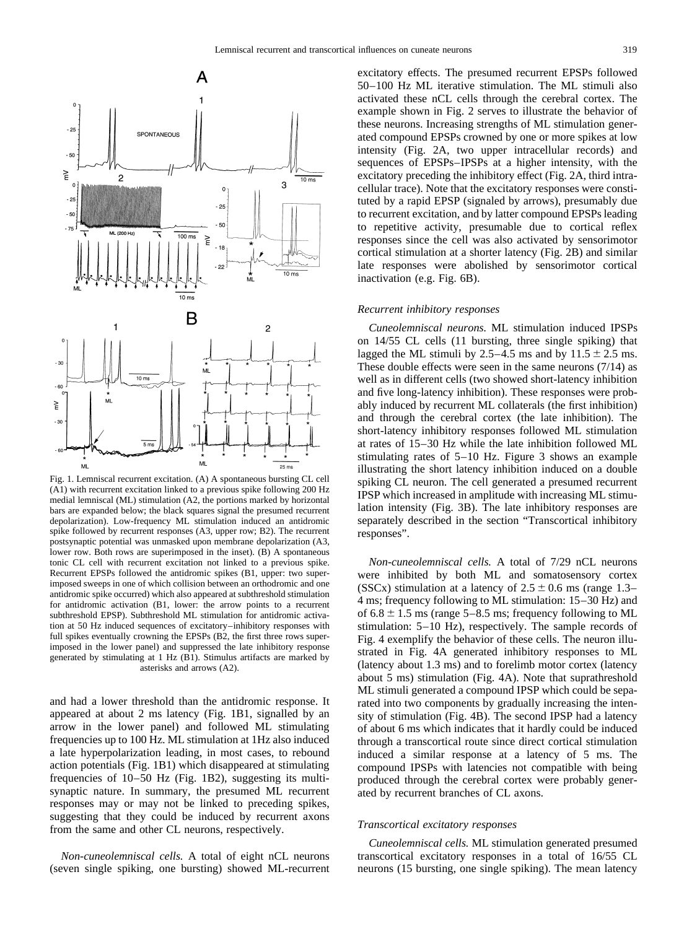

Fig. 1. Lemniscal recurrent excitation. (A) A spontaneous bursting CL cell (A1) with recurrent excitation linked to a previous spike following 200 Hz medial lemniscal (ML) stimulation (A2, the portions marked by horizontal bars are expanded below; the black squares signal the presumed recurrent depolarization). Low-frequency ML stimulation induced an antidromic spike followed by recurrent responses (A3, upper row; B2). The recurrent postsynaptic potential was unmasked upon membrane depolarization (A3, lower row. Both rows are superimposed in the inset). (B) A spontaneous tonic CL cell with recurrent excitation not linked to a previous spike. Recurrent EPSPs followed the antidromic spikes (B1, upper: two superimposed sweeps in one of which collision between an orthodromic and one antidromic spike occurred) which also appeared at subthreshold stimulation for antidromic activation (B1, lower: the arrow points to a recurrent subthreshold EPSP). Subthreshold ML stimulation for antidromic activation at 50 Hz induced sequences of excitatory–inhibitory responses with full spikes eventually crowning the EPSPs (B2, the first three rows superimposed in the lower panel) and suppressed the late inhibitory response generated by stimulating at 1 Hz (B1). Stimulus artifacts are marked by asterisks and arrows (A2).

and had a lower threshold than the antidromic response. It appeared at about 2 ms latency (Fig. 1B1, signalled by an arrow in the lower panel) and followed ML stimulating frequencies up to 100 Hz. ML stimulation at 1Hz also induced a late hyperpolarization leading, in most cases, to rebound action potentials (Fig. 1B1) which disappeared at stimulating frequencies of 10–50 Hz (Fig. 1B2), suggesting its multisynaptic nature. In summary, the presumed ML recurrent responses may or may not be linked to preceding spikes, suggesting that they could be induced by recurrent axons from the same and other CL neurons, respectively.

*Non-cuneolemniscal cells.* A total of eight nCL neurons (seven single spiking, one bursting) showed ML-recurrent

excitatory effects. The presumed recurrent EPSPs followed 50–100 Hz ML iterative stimulation. The ML stimuli also activated these nCL cells through the cerebral cortex. The example shown in Fig. 2 serves to illustrate the behavior of these neurons. Increasing strengths of ML stimulation generated compound EPSPs crowned by one or more spikes at low intensity (Fig. 2A, two upper intracellular records) and sequences of EPSPs–IPSPs at a higher intensity, with the excitatory preceding the inhibitory effect (Fig. 2A, third intracellular trace). Note that the excitatory responses were constituted by a rapid EPSP (signaled by arrows), presumably due to recurrent excitation, and by latter compound EPSPs leading to repetitive activity, presumable due to cortical reflex responses since the cell was also activated by sensorimotor cortical stimulation at a shorter latency (Fig. 2B) and similar late responses were abolished by sensorimotor cortical inactivation (e.g. Fig. 6B).

# *Recurrent inhibitory responses*

*Cuneolemniscal neurons.* ML stimulation induced IPSPs on 14/55 CL cells (11 bursting, three single spiking) that lagged the ML stimuli by 2.5–4.5 ms and by  $11.5 \pm 2.5$  ms. These double effects were seen in the same neurons (7/14) as well as in different cells (two showed short-latency inhibition and five long-latency inhibition). These responses were probably induced by recurrent ML collaterals (the first inhibition) and through the cerebral cortex (the late inhibition). The short-latency inhibitory responses followed ML stimulation at rates of 15–30 Hz while the late inhibition followed ML stimulating rates of 5–10 Hz. Figure 3 shows an example illustrating the short latency inhibition induced on a double spiking CL neuron. The cell generated a presumed recurrent IPSP which increased in amplitude with increasing ML stimulation intensity (Fig. 3B). The late inhibitory responses are separately described in the section "Transcortical inhibitory responses".

*Non-cuneolemniscal cells.* A total of 7/29 nCL neurons were inhibited by both ML and somatosensory cortex (SSCx) stimulation at a latency of  $2.5 \pm 0.6$  ms (range 1.3– 4 ms; frequency following to ML stimulation: 15–30 Hz) and of  $6.8 \pm 1.5$  ms (range 5–8.5 ms; frequency following to ML stimulation: 5–10 Hz), respectively. The sample records of Fig. 4 exemplify the behavior of these cells. The neuron illustrated in Fig. 4A generated inhibitory responses to ML (latency about 1.3 ms) and to forelimb motor cortex (latency about 5 ms) stimulation (Fig. 4A). Note that suprathreshold ML stimuli generated a compound IPSP which could be separated into two components by gradually increasing the intensity of stimulation (Fig. 4B). The second IPSP had a latency of about 6 ms which indicates that it hardly could be induced through a transcortical route since direct cortical stimulation induced a similar response at a latency of 5 ms. The compound IPSPs with latencies not compatible with being produced through the cerebral cortex were probably generated by recurrent branches of CL axons.

# *Transcortical excitatory responses*

*Cuneolemniscal cells.* ML stimulation generated presumed transcortical excitatory responses in a total of 16/55 CL neurons (15 bursting, one single spiking). The mean latency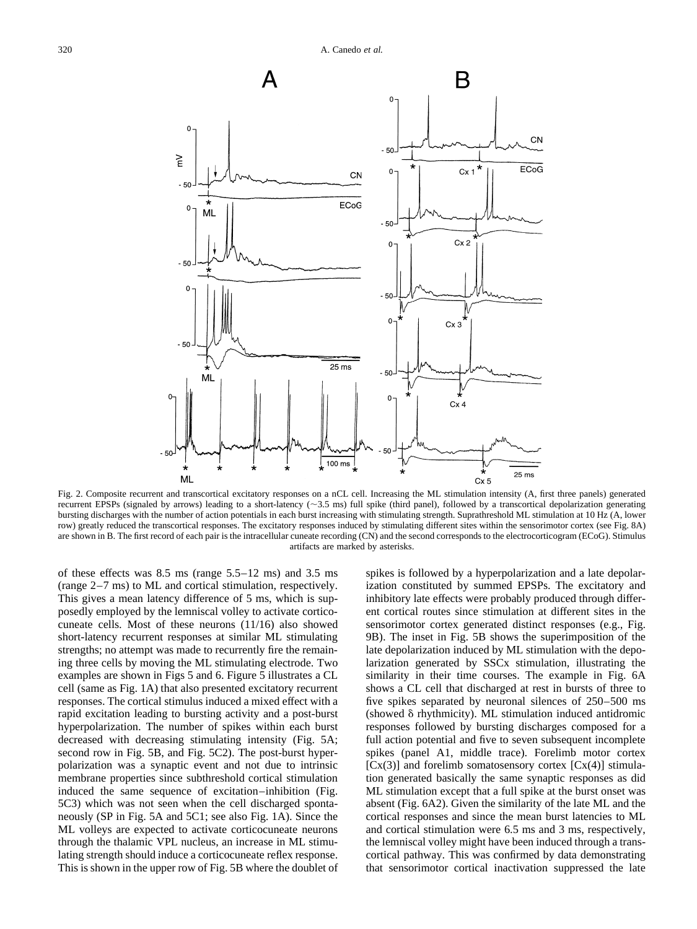

Fig. 2. Composite recurrent and transcortical excitatory responses on a nCL cell. Increasing the ML stimulation intensity (A, first three panels) generated recurrent EPSPs (signaled by arrows) leading to a short-latency  $(\sim 3.5 \text{ ms})$  full spike (third panel), followed by a transcortical depolarization generating bursting discharges with the number of action potentials in each burst increasing with stimulating strength. Suprathreshold ML stimulation at 10 Hz (A, lower row) greatly reduced the transcortical responses. The excitatory responses induced by stimulating different sites within the sensorimotor cortex (see Fig. 8A) are shown in B. The first record of each pair is the intracellular cuneate recording (CN) and the second corresponds to the electrocorticogram (ECoG). Stimulus artifacts are marked by asterisks.

of these effects was 8.5 ms (range 5.5–12 ms) and 3.5 ms (range 2–7 ms) to ML and cortical stimulation, respectively. This gives a mean latency difference of 5 ms, which is supposedly employed by the lemniscal volley to activate corticocuneate cells. Most of these neurons (11/16) also showed short-latency recurrent responses at similar ML stimulating strengths; no attempt was made to recurrently fire the remaining three cells by moving the ML stimulating electrode. Two examples are shown in Figs 5 and 6. Figure 5 illustrates a CL cell (same as Fig. 1A) that also presented excitatory recurrent responses. The cortical stimulus induced a mixed effect with a rapid excitation leading to bursting activity and a post-burst hyperpolarization. The number of spikes within each burst decreased with decreasing stimulating intensity (Fig. 5A; second row in Fig. 5B, and Fig. 5C2). The post-burst hyperpolarization was a synaptic event and not due to intrinsic membrane properties since subthreshold cortical stimulation induced the same sequence of excitation–inhibition (Fig. 5C3) which was not seen when the cell discharged spontaneously (SP in Fig. 5A and 5C1; see also Fig. 1A). Since the ML volleys are expected to activate corticocuneate neurons through the thalamic VPL nucleus, an increase in ML stimulating strength should induce a corticocuneate reflex response. This is shown in the upper row of Fig. 5B where the doublet of

spikes is followed by a hyperpolarization and a late depolarization constituted by summed EPSPs. The excitatory and inhibitory late effects were probably produced through different cortical routes since stimulation at different sites in the sensorimotor cortex generated distinct responses (e.g., Fig. 9B). The inset in Fig. 5B shows the superimposition of the late depolarization induced by ML stimulation with the depolarization generated by SSCx stimulation, illustrating the similarity in their time courses. The example in Fig. 6A shows a CL cell that discharged at rest in bursts of three to five spikes separated by neuronal silences of 250–500 ms (showed  $\delta$  rhythmicity). ML stimulation induced antidromic responses followed by bursting discharges composed for a full action potential and five to seven subsequent incomplete spikes (panel A1, middle trace). Forelimb motor cortex  $[Cx(3)]$  and forelimb somatosensory cortex  $[Cx(4)]$  stimulation generated basically the same synaptic responses as did ML stimulation except that a full spike at the burst onset was absent (Fig. 6A2). Given the similarity of the late ML and the cortical responses and since the mean burst latencies to ML and cortical stimulation were 6.5 ms and 3 ms, respectively, the lemniscal volley might have been induced through a transcortical pathway. This was confirmed by data demonstrating that sensorimotor cortical inactivation suppressed the late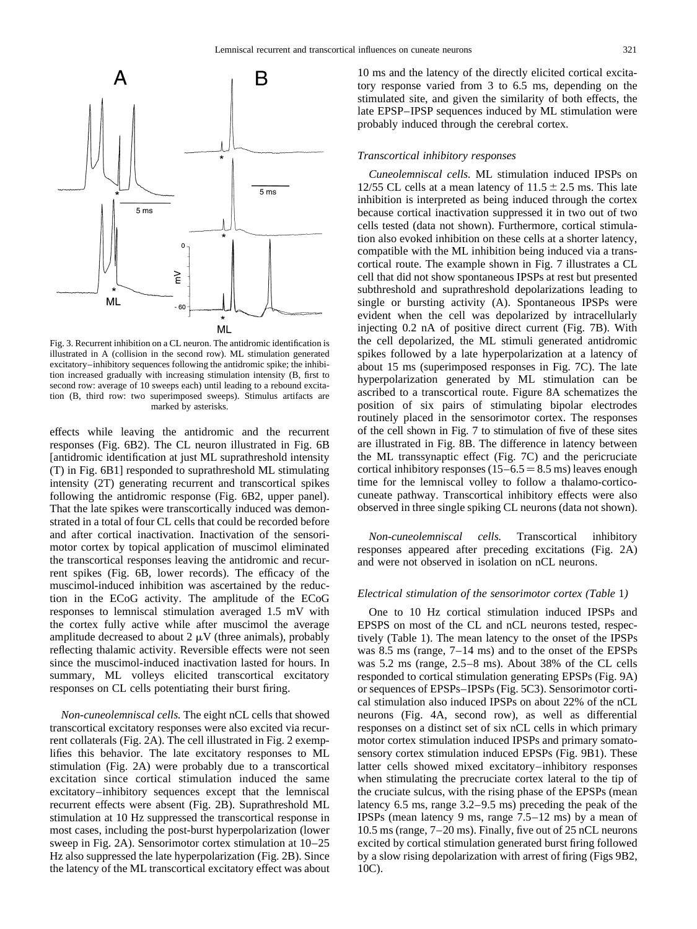

Fig. 3. Recurrent inhibition on a CL neuron. The antidromic identification is illustrated in A (collision in the second row). ML stimulation generated excitatory–inhibitory sequences following the antidromic spike; the inhibition increased gradually with increasing stimulation intensity (B, first to second row: average of 10 sweeps each) until leading to a rebound excitation (B, third row: two superimposed sweeps). Stimulus artifacts are marked by asterisks.

effects while leaving the antidromic and the recurrent responses (Fig. 6B2). The CL neuron illustrated in Fig. 6B [antidromic identification at just ML suprathreshold intensity (T) in Fig. 6B1] responded to suprathreshold ML stimulating intensity (2T) generating recurrent and transcortical spikes following the antidromic response (Fig. 6B2, upper panel). That the late spikes were transcortically induced was demonstrated in a total of four CL cells that could be recorded before and after cortical inactivation. Inactivation of the sensorimotor cortex by topical application of muscimol eliminated the transcortical responses leaving the antidromic and recurrent spikes (Fig. 6B, lower records). The efficacy of the muscimol-induced inhibition was ascertained by the reduction in the ECoG activity. The amplitude of the ECoG responses to lemniscal stimulation averaged 1.5 mV with the cortex fully active while after muscimol the average amplitude decreased to about  $2 \mu V$  (three animals), probably reflecting thalamic activity. Reversible effects were not seen since the muscimol-induced inactivation lasted for hours. In summary, ML volleys elicited transcortical excitatory responses on CL cells potentiating their burst firing.

*Non-cuneolemniscal cells.* The eight nCL cells that showed transcortical excitatory responses were also excited via recurrent collaterals (Fig. 2A). The cell illustrated in Fig. 2 exemplifies this behavior. The late excitatory responses to ML stimulation (Fig. 2A) were probably due to a transcortical excitation since cortical stimulation induced the same excitatory–inhibitory sequences except that the lemniscal recurrent effects were absent (Fig. 2B). Suprathreshold ML stimulation at 10 Hz suppressed the transcortical response in most cases, including the post-burst hyperpolarization (lower sweep in Fig. 2A). Sensorimotor cortex stimulation at 10–25 Hz also suppressed the late hyperpolarization (Fig. 2B). Since the latency of the ML transcortical excitatory effect was about

10 ms and the latency of the directly elicited cortical excitatory response varied from 3 to 6.5 ms, depending on the stimulated site, and given the similarity of both effects, the late EPSP–IPSP sequences induced by ML stimulation were probably induced through the cerebral cortex.

# *Transcortical inhibitory responses*

*Cuneolemniscal cells.* ML stimulation induced IPSPs on 12/55 CL cells at a mean latency of  $11.5 \pm 2.5$  ms. This late inhibition is interpreted as being induced through the cortex because cortical inactivation suppressed it in two out of two cells tested (data not shown). Furthermore, cortical stimulation also evoked inhibition on these cells at a shorter latency, compatible with the ML inhibition being induced via a transcortical route. The example shown in Fig. 7 illustrates a CL cell that did not show spontaneous IPSPs at rest but presented subthreshold and suprathreshold depolarizations leading to single or bursting activity (A). Spontaneous IPSPs were evident when the cell was depolarized by intracellularly injecting 0.2 nA of positive direct current (Fig. 7B). With the cell depolarized, the ML stimuli generated antidromic spikes followed by a late hyperpolarization at a latency of about 15 ms (superimposed responses in Fig. 7C). The late hyperpolarization generated by ML stimulation can be ascribed to a transcortical route. Figure 8A schematizes the position of six pairs of stimulating bipolar electrodes routinely placed in the sensorimotor cortex. The responses of the cell shown in Fig. 7 to stimulation of five of these sites are illustrated in Fig. 8B. The difference in latency between the ML transsynaptic effect (Fig. 7C) and the pericruciate cortical inhibitory responses  $(15-6.5 = 8.5 \text{ ms})$  leaves enough time for the lemniscal volley to follow a thalamo-corticocuneate pathway. Transcortical inhibitory effects were also observed in three single spiking CL neurons (data not shown).

*Non-cuneolemniscal cells.* Transcortical inhibitory responses appeared after preceding excitations (Fig. 2A) and were not observed in isolation on nCL neurons.

### *Electrical stimulation of the sensorimotor cortex (Table* 1*)*

One to 10 Hz cortical stimulation induced IPSPs and EPSPS on most of the CL and nCL neurons tested, respectively (Table 1). The mean latency to the onset of the IPSPs was 8.5 ms (range, 7–14 ms) and to the onset of the EPSPs was 5.2 ms (range, 2.5–8 ms). About 38% of the CL cells responded to cortical stimulation generating EPSPs (Fig. 9A) or sequences of EPSPs–IPSPs (Fig. 5C3). Sensorimotor cortical stimulation also induced IPSPs on about 22% of the nCL neurons (Fig. 4A, second row), as well as differential responses on a distinct set of six nCL cells in which primary motor cortex stimulation induced IPSPs and primary somatosensory cortex stimulation induced EPSPs (Fig. 9B1). These latter cells showed mixed excitatory–inhibitory responses when stimulating the precruciate cortex lateral to the tip of the cruciate sulcus, with the rising phase of the EPSPs (mean latency 6.5 ms, range 3.2–9.5 ms) preceding the peak of the IPSPs (mean latency 9 ms, range 7.5–12 ms) by a mean of 10.5 ms (range, 7–20 ms). Finally, five out of 25 nCL neurons excited by cortical stimulation generated burst firing followed by a slow rising depolarization with arrest of firing (Figs 9B2, 10C).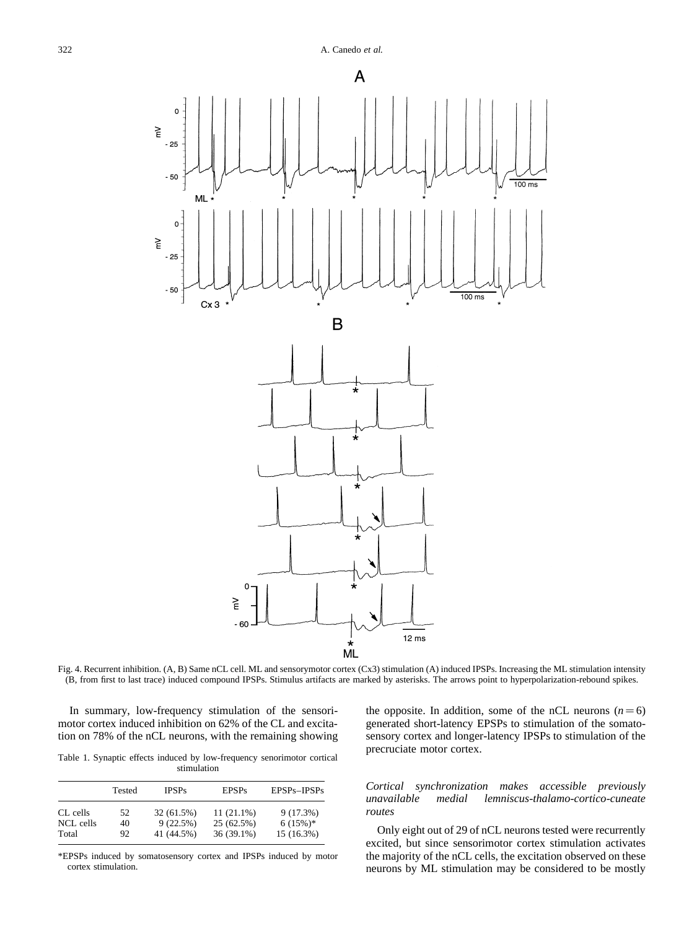

Fig. 4. Recurrent inhibition. (A, B) Same nCL cell. ML and sensorymotor cortex (Cx3) stimulation (A) induced IPSPs. Increasing the ML stimulation intensity (B, from first to last trace) induced compound IPSPs. Stimulus artifacts are marked by asterisks. The arrows point to hyperpolarization-rebound spikes.

In summary, low-frequency stimulation of the sensorimotor cortex induced inhibition on 62% of the CL and excitation on 78% of the nCL neurons, with the remaining showing

Table 1. Synaptic effects induced by low-frequency senorimotor cortical stimulation

|                       | Tested   | <b>IPSPs</b>           | <b>EPSPs</b>               | $EPSPs-IPSPs$          |
|-----------------------|----------|------------------------|----------------------------|------------------------|
| CL cells<br>NCL cells | 52<br>40 | 32 (61.5%)<br>9(22.5%) | $11(21.1\%)$<br>25 (62.5%) | 9(17.3%)<br>$6(15\%)*$ |
| Total                 | 92       | 41 (44.5%)             | $36(39.1\%)$               | 15 (16.3%)             |

\*EPSPs induced by somatosensory cortex and IPSPs induced by motor cortex stimulation.

the opposite. In addition, some of the nCL neurons  $(n=6)$ generated short-latency EPSPs to stimulation of the somatosensory cortex and longer-latency IPSPs to stimulation of the precruciate motor cortex.

 $100 \text{ ms}$ 

*Cortical synchronization makes accessible previously unavailable medial lemniscus-thalamo-cortico-cuneate routes*

Only eight out of 29 of nCL neurons tested were recurrently excited, but since sensorimotor cortex stimulation activates the majority of the nCL cells, the excitation observed on these neurons by ML stimulation may be considered to be mostly

 $\overline{a}$ 

 $-50$ 

 $\mathbf{o}$ 

 $-50$ 

 $\geq$  $.95$ 

 $\geq$  $-25$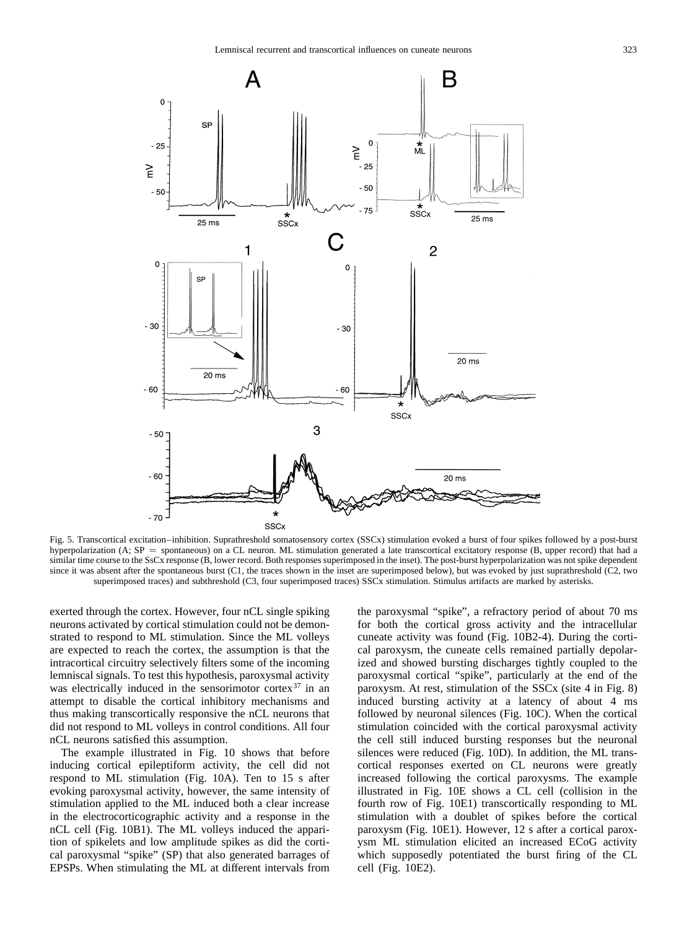

Fig. 5. Transcortical excitation–inhibition. Suprathreshold somatosensory cortex (SSCx) stimulation evoked a burst of four spikes followed by a post-burst hyperpolarization (A;  $SP =$  spontaneous) on a CL neuron. ML stimulation generated a late transcortical excitatory response (B, upper record) that had a similar time course to the SsCx response (B, lower record. Both responses superimposed in the inset). The post-burst hyperpolarization was not spike dependent since it was absent after the spontaneous burst (C1, the traces shown in the inset are superimposed below), but was evoked by just suprathreshold (C2, two superimposed traces) and subthreshold (C3, four superimposed traces) SSCx stimulation. Stimulus artifacts are marked by asterisks.

exerted through the cortex. However, four nCL single spiking neurons activated by cortical stimulation could not be demonstrated to respond to ML stimulation. Since the ML volleys are expected to reach the cortex, the assumption is that the intracortical circuitry selectively filters some of the incoming lemniscal signals. To test this hypothesis, paroxysmal activity was electrically induced in the sensorimotor cortex $37$  in an attempt to disable the cortical inhibitory mechanisms and thus making transcortically responsive the nCL neurons that did not respond to ML volleys in control conditions. All four nCL neurons satisfied this assumption.

The example illustrated in Fig. 10 shows that before inducing cortical epileptiform activity, the cell did not respond to ML stimulation (Fig. 10A). Ten to 15 s after evoking paroxysmal activity, however, the same intensity of stimulation applied to the ML induced both a clear increase in the electrocorticographic activity and a response in the nCL cell (Fig. 10B1). The ML volleys induced the apparition of spikelets and low amplitude spikes as did the cortical paroxysmal "spike" (SP) that also generated barrages of EPSPs. When stimulating the ML at different intervals from

the paroxysmal "spike", a refractory period of about 70 ms for both the cortical gross activity and the intracellular cuneate activity was found (Fig. 10B2-4). During the cortical paroxysm, the cuneate cells remained partially depolarized and showed bursting discharges tightly coupled to the paroxysmal cortical "spike", particularly at the end of the paroxysm. At rest, stimulation of the SSCx (site 4 in Fig. 8) induced bursting activity at a latency of about 4 ms followed by neuronal silences (Fig. 10C). When the cortical stimulation coincided with the cortical paroxysmal activity the cell still induced bursting responses but the neuronal silences were reduced (Fig. 10D). In addition, the ML transcortical responses exerted on CL neurons were greatly increased following the cortical paroxysms. The example illustrated in Fig. 10E shows a CL cell (collision in the fourth row of Fig. 10E1) transcortically responding to ML stimulation with a doublet of spikes before the cortical paroxysm (Fig. 10E1). However, 12 s after a cortical paroxysm ML stimulation elicited an increased ECoG activity which supposedly potentiated the burst firing of the CL cell (Fig. 10E2).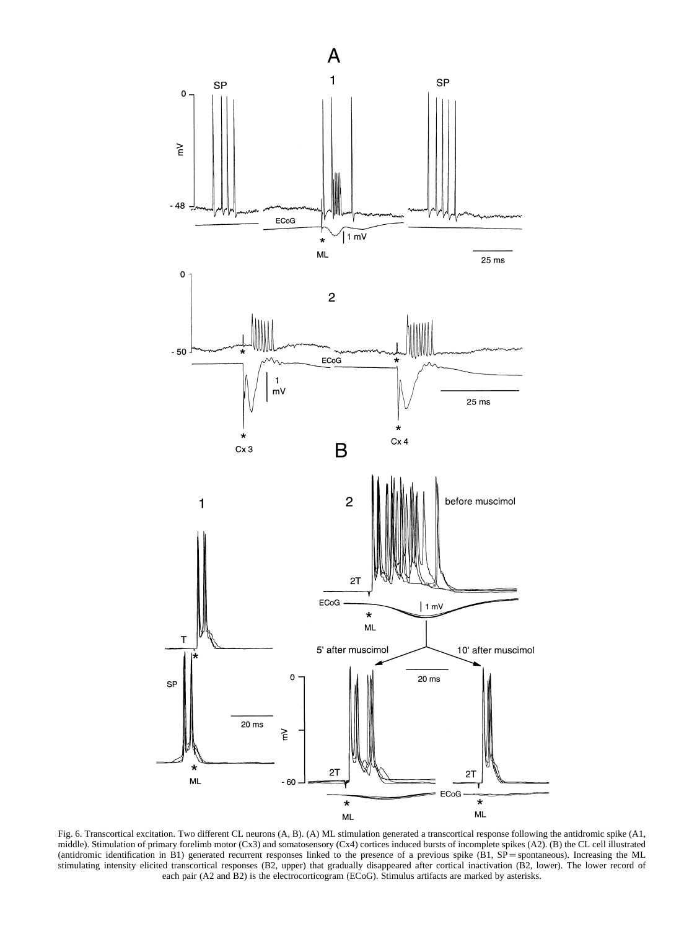

Fig. 6. Transcortical excitation. Two different CL neurons (A, B). (A) ML stimulation generated a transcortical response following the antidromic spike (A1, middle). Stimulation of primary forelimb motor (Cx3) and somatosensory (Cx4) cortices induced bursts of incomplete spikes (A2). (B) the CL cell illustrated (antidromic identification in B1) generated recurrent responses linked to the presence of a previous spike (B1, SP = spontaneous). Increasing the ML<br>stimulating intensity elicited transcortical responses (B2, upper) that g each pair (A2 and B2) is the electrocorticogram (ECoG). Stimulus artifacts are marked by asterisks.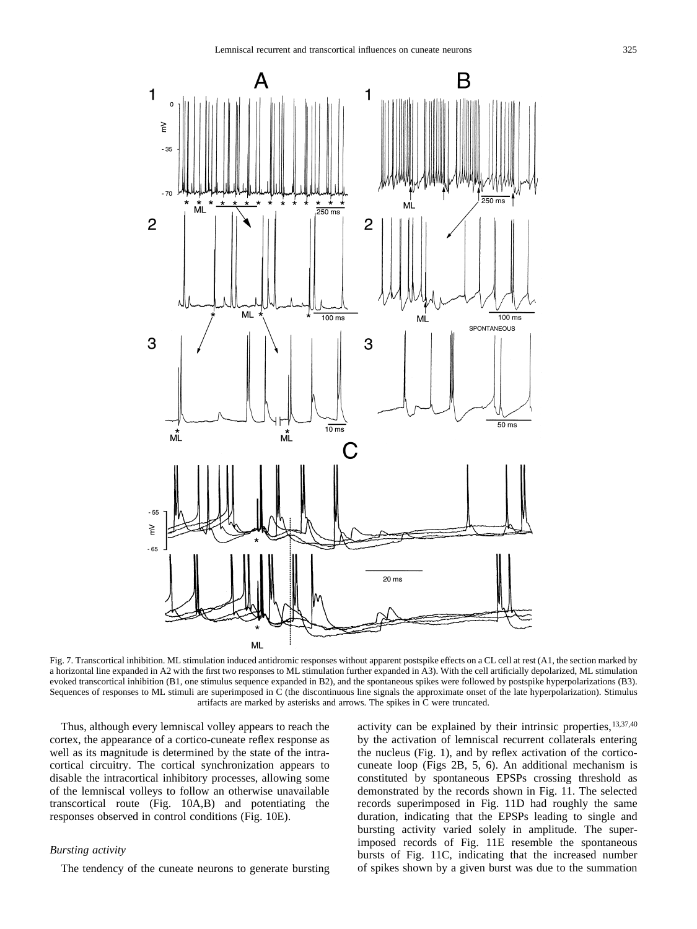

Fig. 7. Transcortical inhibition. ML stimulation induced antidromic responses without apparent postspike effects on a CL cell at rest (A1, the section marked by a horizontal line expanded in A2 with the first two responses to ML stimulation further expanded in A3). With the cell artificially depolarized, ML stimulation evoked transcortical inhibition (B1, one stimulus sequence expanded in B2), and the spontaneous spikes were followed by postspike hyperpolarizations (B3). Sequences of responses to ML stimuli are superimposed in C (the discontinuous line signals the approximate onset of the late hyperpolarization). Stimulus artifacts are marked by asterisks and arrows. The spikes in C were truncated.

Thus, although every lemniscal volley appears to reach the cortex, the appearance of a cortico-cuneate reflex response as well as its magnitude is determined by the state of the intracortical circuitry. The cortical synchronization appears to disable the intracortical inhibitory processes, allowing some of the lemniscal volleys to follow an otherwise unavailable transcortical route (Fig. 10A,B) and potentiating the responses observed in control conditions (Fig. 10E).

# *Bursting activity*

The tendency of the cuneate neurons to generate bursting

activity can be explained by their intrinsic properties,  $^{13,37,40}$ by the activation of lemniscal recurrent collaterals entering the nucleus (Fig. 1), and by reflex activation of the corticocuneate loop (Figs 2B, 5, 6). An additional mechanism is constituted by spontaneous EPSPs crossing threshold as demonstrated by the records shown in Fig. 11. The selected records superimposed in Fig. 11D had roughly the same duration, indicating that the EPSPs leading to single and bursting activity varied solely in amplitude. The superimposed records of Fig. 11E resemble the spontaneous bursts of Fig. 11C, indicating that the increased number of spikes shown by a given burst was due to the summation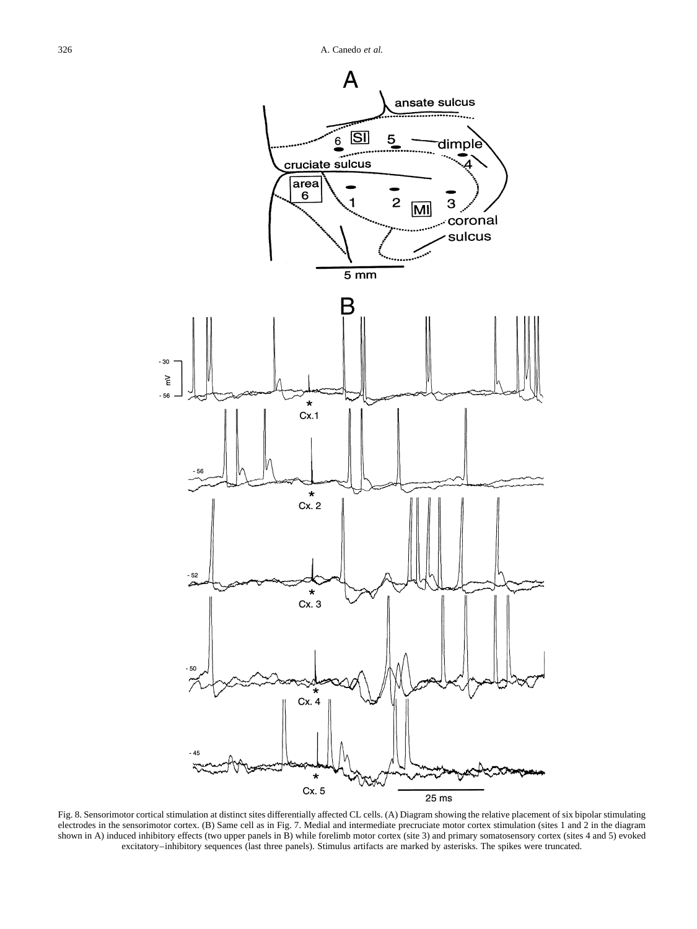

Fig. 8. Sensorimotor cortical stimulation at distinct sites differentially affected CL cells. (A) Diagram showing the relative placement of six bipolar stimulating electrodes in the sensorimotor cortex. (B) Same cell as in Fig. 7. Medial and intermediate precruciate motor cortex stimulation (sites 1 and 2 in the diagram shown in A) induced inhibitory effects (two upper panels in B) while forelimb motor cortex (site 3) and primary somatosensory cortex (sites 4 and 5) evoked excitatory–inhibitory sequences (last three panels). Stimulus artifacts are marked by asterisks. The spikes were truncated.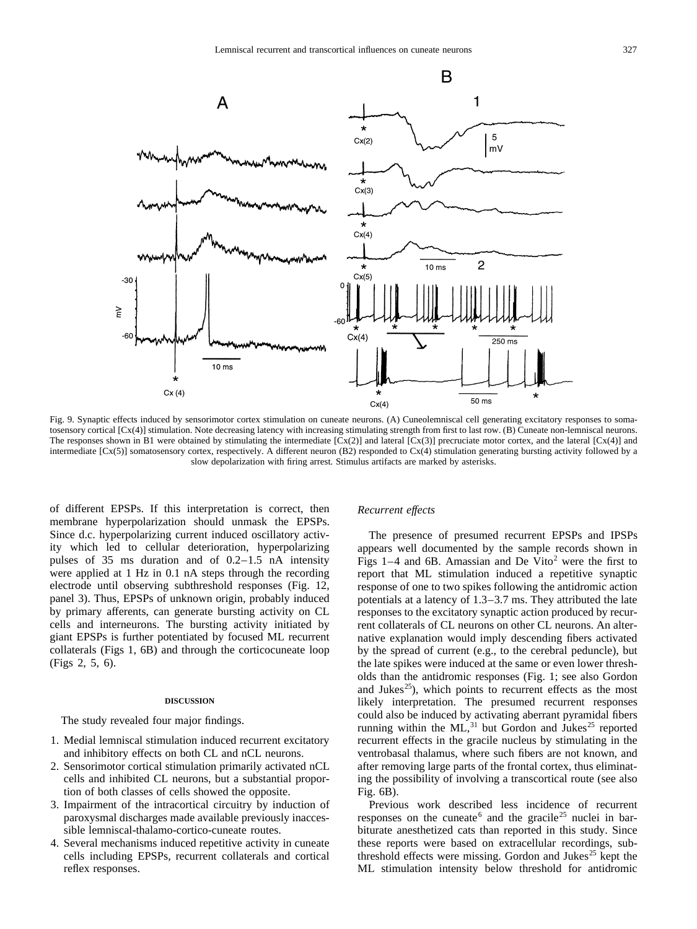

Fig. 9. Synaptic effects induced by sensorimotor cortex stimulation on cuneate neurons. (A) Cuneolemniscal cell generating excitatory responses to somatosensory cortical [Cx(4)] stimulation. Note decreasing latency with increasing stimulating strength from first to last row. (B) Cuneate non-lemniscal neurons. The responses shown in B1 were obtained by stimulating the intermediate [Cx(2)] and lateral [Cx(3)] precruciate motor cortex, and the lateral [Cx(4)] and intermediate [Cx(5)] somatosensory cortex, respectively. A different neuron (B2) responded to Cx(4) stimulation generating bursting activity followed by a slow depolarization with firing arrest. Stimulus artifacts are marked by asterisks.

of different EPSPs. If this interpretation is correct, then membrane hyperpolarization should unmask the EPSPs. Since d.c. hyperpolarizing current induced oscillatory activity which led to cellular deterioration, hyperpolarizing pulses of 35 ms duration and of 0.2–1.5 nA intensity were applied at 1 Hz in 0.1 nA steps through the recording electrode until observing subthreshold responses (Fig. 12, panel 3). Thus, EPSPs of unknown origin, probably induced by primary afferents, can generate bursting activity on CL cells and interneurons. The bursting activity initiated by giant EPSPs is further potentiated by focused ML recurrent collaterals (Figs 1, 6B) and through the corticocuneate loop (Figs 2, 5, 6).

#### **DISCUSSION**

The study revealed four major findings.

- 1. Medial lemniscal stimulation induced recurrent excitatory and inhibitory effects on both CL and nCL neurons.
- 2. Sensorimotor cortical stimulation primarily activated nCL cells and inhibited CL neurons, but a substantial proportion of both classes of cells showed the opposite.
- 3. Impairment of the intracortical circuitry by induction of paroxysmal discharges made available previously inaccessible lemniscal-thalamo-cortico-cuneate routes.
- 4. Several mechanisms induced repetitive activity in cuneate cells including EPSPs, recurrent collaterals and cortical reflex responses.

### *Recurrent effects*

The presence of presumed recurrent EPSPs and IPSPs appears well documented by the sample records shown in Figs  $1-4$  and 6B. Amassian and De Vito<sup>2</sup> were the first to report that ML stimulation induced a repetitive synaptic response of one to two spikes following the antidromic action potentials at a latency of 1.3–3.7 ms. They attributed the late responses to the excitatory synaptic action produced by recurrent collaterals of CL neurons on other CL neurons. An alternative explanation would imply descending fibers activated by the spread of current (e.g., to the cerebral peduncle), but the late spikes were induced at the same or even lower thresholds than the antidromic responses (Fig. 1; see also Gordon and Jukes<sup>25</sup>), which points to recurrent effects as the most likely interpretation. The presumed recurrent responses could also be induced by activating aberrant pyramidal fibers running within the ML, $^{31}$  but Gordon and Jukes<sup>25</sup> reported recurrent effects in the gracile nucleus by stimulating in the ventrobasal thalamus, where such fibers are not known, and after removing large parts of the frontal cortex, thus eliminating the possibility of involving a transcortical route (see also Fig. 6B).

Previous work described less incidence of recurrent responses on the cuneate<sup>6</sup> and the gracile<sup>25</sup> nuclei in barbiturate anesthetized cats than reported in this study. Since these reports were based on extracellular recordings, subthreshold effects were missing. Gordon and Jukes<sup>25</sup> kept the ML stimulation intensity below threshold for antidromic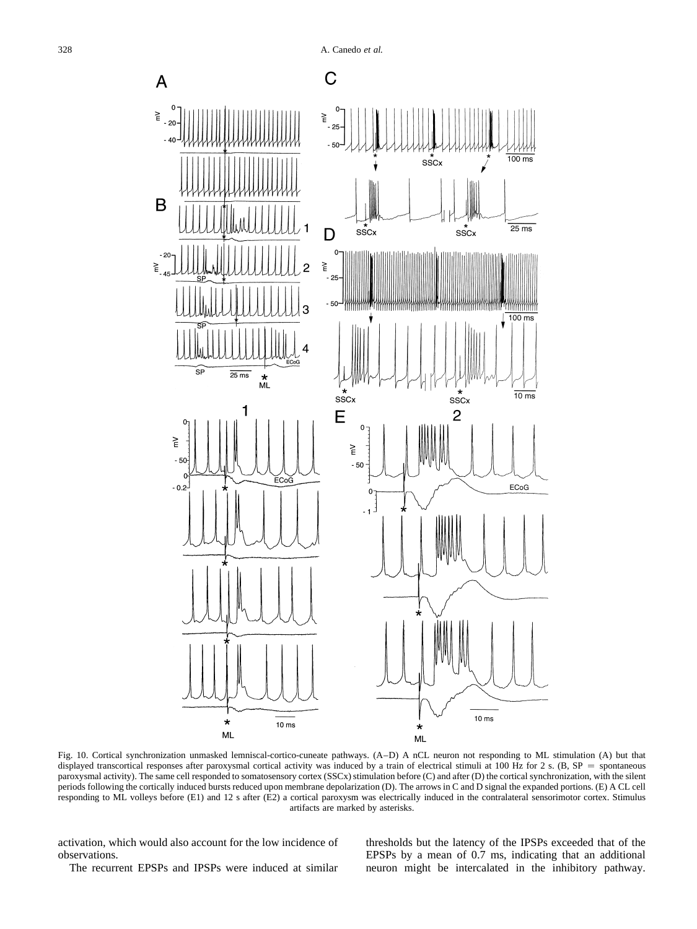

Fig. 10. Cortical synchronization unmasked lemniscal-cortico-cuneate pathways. (A–D) A nCL neuron not responding to ML stimulation (A) but that displayed transcortical responses after paroxysmal cortical activity was induced by a train of electrical stimuli at 100 Hz for 2 s. (B, SP = spontaneous paroxysmal activity). The same cell responded to somatosensory cortex (SSCx) stimulation before (C) and after (D) the cortical synchronization, with the silent periods following the cortically induced bursts reduced upon membrane depolarization (D). The arrows in C and D signal the expanded portions. (E) A CL cell responding to ML volleys before (E1) and 12 s after (E2) a cortical paroxysm was electrically induced in the contralateral sensorimotor cortex. Stimulus artifacts are marked by asterisks.

activation, which would also account for the low incidence of observations.

The recurrent EPSPs and IPSPs were induced at similar

thresholds but the latency of the IPSPs exceeded that of the EPSPs by a mean of 0.7 ms, indicating that an additional neuron might be intercalated in the inhibitory pathway.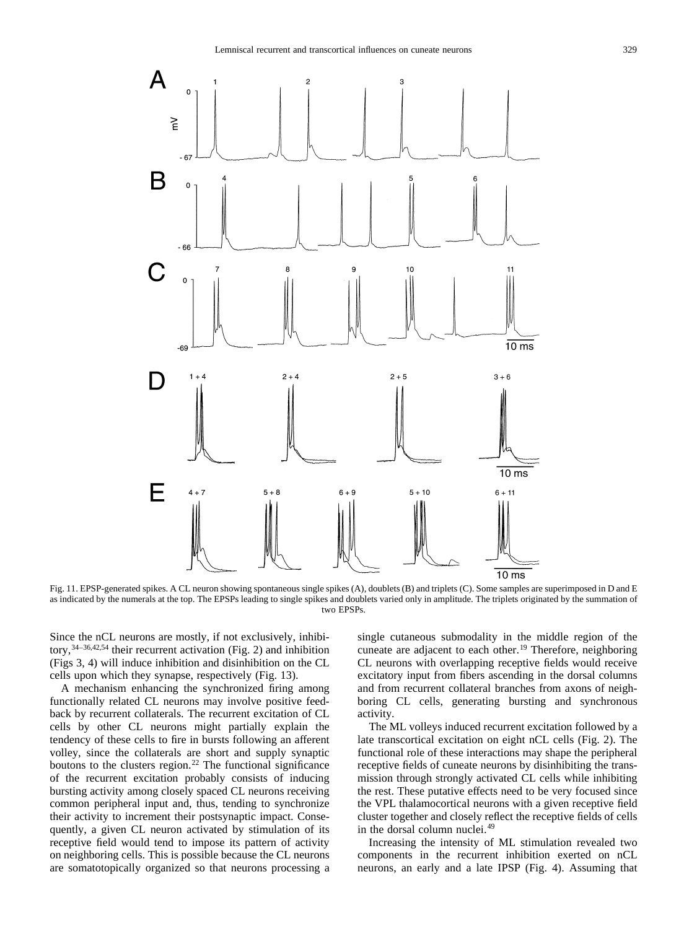

Fig. 11. EPSP-generated spikes. A CL neuron showing spontaneous single spikes (A), doublets (B) and triplets (C). Some samples are superimposed in D and E as indicated by the numerals at the top. The EPSPs leading to single spikes and doublets varied only in amplitude. The triplets originated by the summation of two EPSPs.

Since the nCL neurons are mostly, if not exclusively, inhibitory,  $34-36,42,54$  their recurrent activation (Fig. 2) and inhibition (Figs 3, 4) will induce inhibition and disinhibition on the CL cells upon which they synapse, respectively (Fig. 13).

A mechanism enhancing the synchronized firing among functionally related CL neurons may involve positive feedback by recurrent collaterals. The recurrent excitation of CL cells by other CL neurons might partially explain the tendency of these cells to fire in bursts following an afferent volley, since the collaterals are short and supply synaptic boutons to the clusters region.<sup>22</sup> The functional significance of the recurrent excitation probably consists of inducing bursting activity among closely spaced CL neurons receiving common peripheral input and, thus, tending to synchronize their activity to increment their postsynaptic impact. Consequently, a given CL neuron activated by stimulation of its receptive field would tend to impose its pattern of activity on neighboring cells. This is possible because the CL neurons are somatotopically organized so that neurons processing a

single cutaneous submodality in the middle region of the cuneate are adjacent to each other.<sup>19</sup> Therefore, neighboring CL neurons with overlapping receptive fields would receive excitatory input from fibers ascending in the dorsal columns and from recurrent collateral branches from axons of neighboring CL cells, generating bursting and synchronous activity.

The ML volleys induced recurrent excitation followed by a late transcortical excitation on eight nCL cells (Fig. 2). The functional role of these interactions may shape the peripheral receptive fields of cuneate neurons by disinhibiting the transmission through strongly activated CL cells while inhibiting the rest. These putative effects need to be very focused since the VPL thalamocortical neurons with a given receptive field cluster together and closely reflect the receptive fields of cells in the dorsal column nuclei.<sup>49</sup>

Increasing the intensity of ML stimulation revealed two components in the recurrent inhibition exerted on nCL neurons, an early and a late IPSP (Fig. 4). Assuming that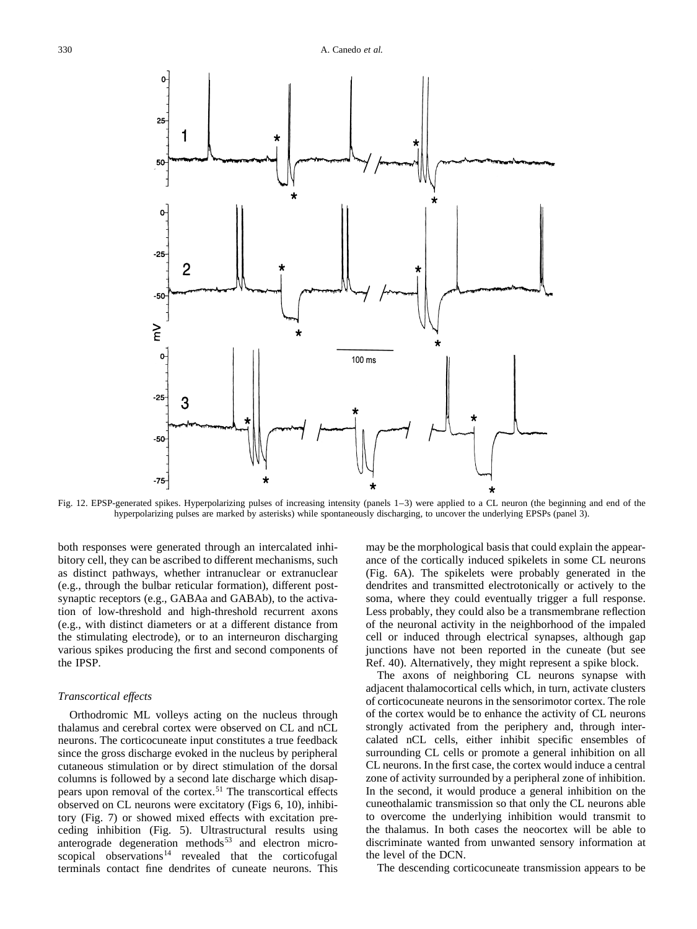

Fig. 12. EPSP-generated spikes. Hyperpolarizing pulses of increasing intensity (panels 1–3) were applied to a CL neuron (the beginning and end of the hyperpolarizing pulses are marked by asterisks) while spontaneously discharging, to uncover the underlying EPSPs (panel 3).

both responses were generated through an intercalated inhibitory cell, they can be ascribed to different mechanisms, such as distinct pathways, whether intranuclear or extranuclear (e.g., through the bulbar reticular formation), different postsynaptic receptors (e.g., GABAa and GABAb), to the activation of low-threshold and high-threshold recurrent axons (e.g., with distinct diameters or at a different distance from the stimulating electrode), or to an interneuron discharging various spikes producing the first and second components of the IPSP.

# *Transcortical effects*

Orthodromic ML volleys acting on the nucleus through thalamus and cerebral cortex were observed on CL and nCL neurons. The corticocuneate input constitutes a true feedback since the gross discharge evoked in the nucleus by peripheral cutaneous stimulation or by direct stimulation of the dorsal columns is followed by a second late discharge which disappears upon removal of the cortex.<sup>51</sup> The transcortical effects observed on CL neurons were excitatory (Figs 6, 10), inhibitory (Fig. 7) or showed mixed effects with excitation preceding inhibition (Fig. 5). Ultrastructural results using anterograde degeneration methods<sup>53</sup> and electron microscopical observations<sup>14</sup> revealed that the corticofugal terminals contact fine dendrites of cuneate neurons. This

may be the morphological basis that could explain the appearance of the cortically induced spikelets in some CL neurons (Fig. 6A). The spikelets were probably generated in the dendrites and transmitted electrotonically or actively to the soma, where they could eventually trigger a full response. Less probably, they could also be a transmembrane reflection of the neuronal activity in the neighborhood of the impaled cell or induced through electrical synapses, although gap junctions have not been reported in the cuneate (but see Ref. 40). Alternatively, they might represent a spike block.

The axons of neighboring CL neurons synapse with adjacent thalamocortical cells which, in turn, activate clusters of corticocuneate neurons in the sensorimotor cortex. The role of the cortex would be to enhance the activity of CL neurons strongly activated from the periphery and, through intercalated nCL cells, either inhibit specific ensembles of surrounding CL cells or promote a general inhibition on all CL neurons. In the first case, the cortex would induce a central zone of activity surrounded by a peripheral zone of inhibition. In the second, it would produce a general inhibition on the cuneothalamic transmission so that only the CL neurons able to overcome the underlying inhibition would transmit to the thalamus. In both cases the neocortex will be able to discriminate wanted from unwanted sensory information at the level of the DCN.

The descending corticocuneate transmission appears to be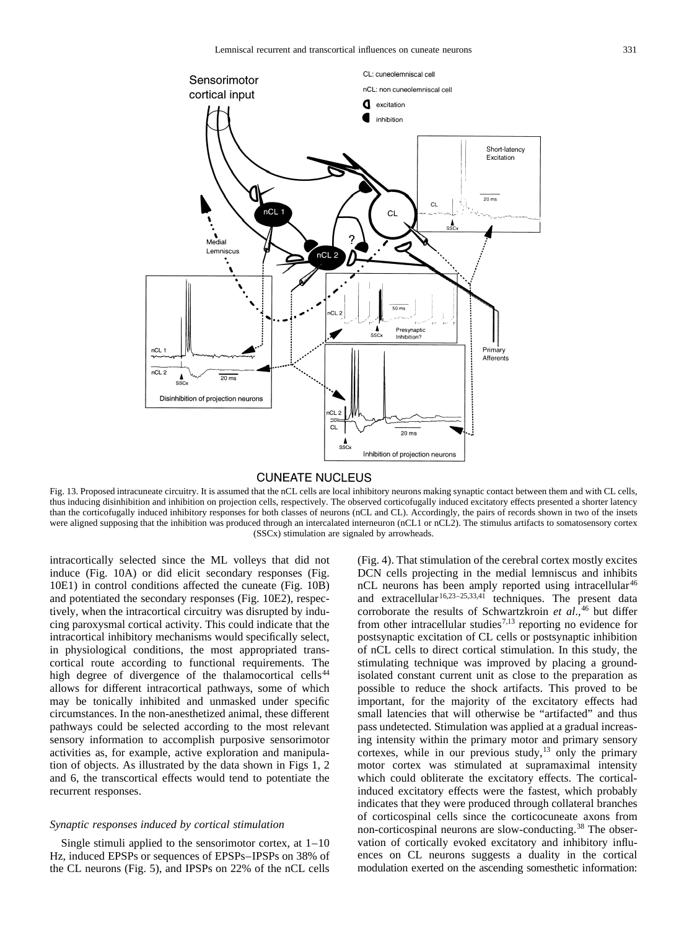

**CUNEATE NUCLEUS** 

Fig. 13. Proposed intracuneate circuitry. It is assumed that the nCL cells are local inhibitory neurons making synaptic contact between them and with CL cells, thus inducing disinhibition and inhibition on projection cells, respectively. The observed corticofugally induced excitatory effects presented a shorter latency than the corticofugally induced inhibitory responses for both classes of neurons (nCL and CL). Accordingly, the pairs of records shown in two of the insets were aligned supposing that the inhibition was produced through an intercalated interneuron (nCL1 or nCL2). The stimulus artifacts to somatosensory cortex (SSCx) stimulation are signaled by arrowheads.

intracortically selected since the ML volleys that did not induce (Fig. 10A) or did elicit secondary responses (Fig. 10E1) in control conditions affected the cuneate (Fig. 10B) and potentiated the secondary responses (Fig. 10E2), respectively, when the intracortical circuitry was disrupted by inducing paroxysmal cortical activity. This could indicate that the intracortical inhibitory mechanisms would specifically select, in physiological conditions, the most appropriated transcortical route according to functional requirements. The high degree of divergence of the thalamocortical cells<sup>44</sup> allows for different intracortical pathways, some of which may be tonically inhibited and unmasked under specific circumstances. In the non-anesthetized animal, these different pathways could be selected according to the most relevant sensory information to accomplish purposive sensorimotor activities as, for example, active exploration and manipulation of objects. As illustrated by the data shown in Figs 1, 2 and 6, the transcortical effects would tend to potentiate the recurrent responses.

# *Synaptic responses induced by cortical stimulation*

Single stimuli applied to the sensorimotor cortex, at  $1-10$ Hz, induced EPSPs or sequences of EPSPs–IPSPs on 38% of the CL neurons (Fig. 5), and IPSPs on 22% of the nCL cells

(Fig. 4). That stimulation of the cerebral cortex mostly excites DCN cells projecting in the medial lemniscus and inhibits nCL neurons has been amply reported using intracellular<sup>46</sup> and extracellular<sup>16,23–25,33,41</sup> techniques. The present data corroborate the results of Schwartzkroin *et al.*,<sup>46</sup> but differ from other intracellular studies<sup>7,13</sup> reporting no evidence for postsynaptic excitation of CL cells or postsynaptic inhibition of nCL cells to direct cortical stimulation. In this study, the stimulating technique was improved by placing a groundisolated constant current unit as close to the preparation as possible to reduce the shock artifacts. This proved to be important, for the majority of the excitatory effects had small latencies that will otherwise be "artifacted" and thus pass undetected. Stimulation was applied at a gradual increasing intensity within the primary motor and primary sensory cortexes, while in our previous study, $13$  only the primary motor cortex was stimulated at supramaximal intensity which could obliterate the excitatory effects. The corticalinduced excitatory effects were the fastest, which probably indicates that they were produced through collateral branches of corticospinal cells since the corticocuneate axons from non-corticospinal neurons are slow-conducting.38 The observation of cortically evoked excitatory and inhibitory influences on CL neurons suggests a duality in the cortical modulation exerted on the ascending somesthetic information: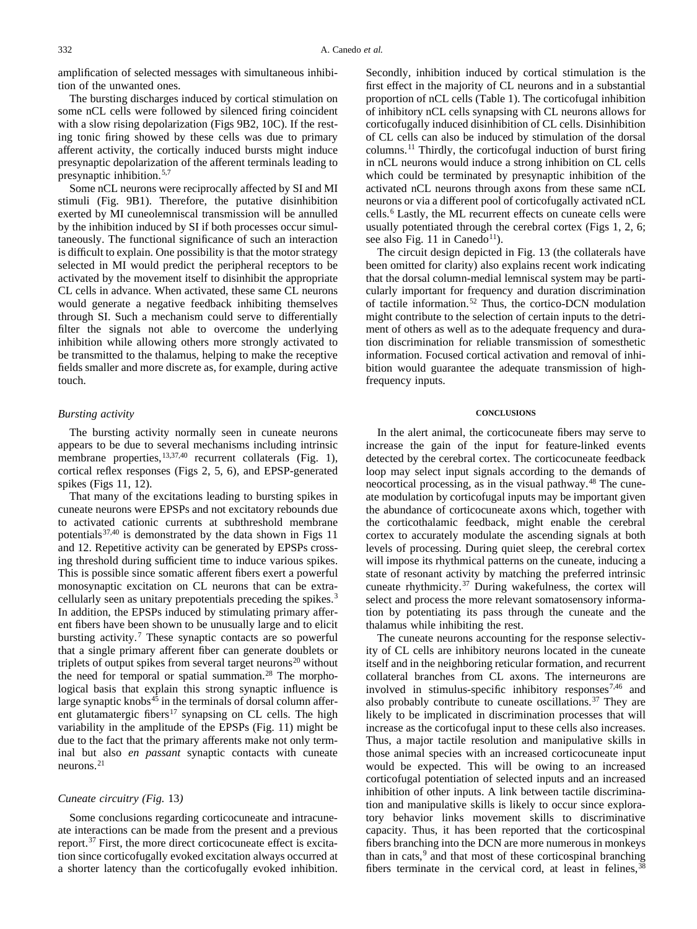amplification of selected messages with simultaneous inhibition of the unwanted ones.

The bursting discharges induced by cortical stimulation on some nCL cells were followed by silenced firing coincident with a slow rising depolarization (Figs 9B2, 10C). If the resting tonic firing showed by these cells was due to primary afferent activity, the cortically induced bursts might induce presynaptic depolarization of the afferent terminals leading to presynaptic inhibition.5,7

Some nCL neurons were reciprocally affected by SI and MI stimuli (Fig. 9B1). Therefore, the putative disinhibition exerted by MI cuneolemniscal transmission will be annulled by the inhibition induced by SI if both processes occur simultaneously. The functional significance of such an interaction is difficult to explain. One possibility is that the motor strategy selected in MI would predict the peripheral receptors to be activated by the movement itself to disinhibit the appropriate CL cells in advance. When activated, these same CL neurons would generate a negative feedback inhibiting themselves through SI. Such a mechanism could serve to differentially filter the signals not able to overcome the underlying inhibition while allowing others more strongly activated to be transmitted to the thalamus, helping to make the receptive fields smaller and more discrete as, for example, during active touch.

### *Bursting activity*

The bursting activity normally seen in cuneate neurons appears to be due to several mechanisms including intrinsic membrane properties,  $^{13,37,40}$  recurrent collaterals (Fig. 1), cortical reflex responses (Figs 2, 5, 6), and EPSP-generated spikes (Figs 11, 12).

That many of the excitations leading to bursting spikes in cuneate neurons were EPSPs and not excitatory rebounds due to activated cationic currents at subthreshold membrane potentials<sup>37,40</sup> is demonstrated by the data shown in Figs 11 and 12. Repetitive activity can be generated by EPSPs crossing threshold during sufficient time to induce various spikes. This is possible since somatic afferent fibers exert a powerful monosynaptic excitation on CL neurons that can be extracellularly seen as unitary prepotentials preceding the spikes.<sup>3</sup> In addition, the EPSPs induced by stimulating primary afferent fibers have been shown to be unusually large and to elicit bursting activity.<sup>7</sup> These synaptic contacts are so powerful that a single primary afferent fiber can generate doublets or triplets of output spikes from several target neurons<sup>20</sup> without the need for temporal or spatial summation.<sup>28</sup> The morphological basis that explain this strong synaptic influence is large synaptic knobs $45$  in the terminals of dorsal column afferent glutamatergic fibers<sup>17</sup> synapsing on CL cells. The high variability in the amplitude of the EPSPs (Fig. 11) might be due to the fact that the primary afferents make not only terminal but also *en passant* synaptic contacts with cuneate neurons.21

# *Cuneate circuitry (Fig.* 13*)*

Some conclusions regarding corticocuneate and intracuneate interactions can be made from the present and a previous report.37 First, the more direct corticocuneate effect is excitation since corticofugally evoked excitation always occurred at a shorter latency than the corticofugally evoked inhibition.

Secondly, inhibition induced by cortical stimulation is the first effect in the majority of CL neurons and in a substantial proportion of nCL cells (Table 1). The corticofugal inhibition of inhibitory nCL cells synapsing with CL neurons allows for corticofugally induced disinhibition of CL cells. Disinhibition of CL cells can also be induced by stimulation of the dorsal columns.11 Thirdly, the corticofugal induction of burst firing in nCL neurons would induce a strong inhibition on CL cells which could be terminated by presynaptic inhibition of the activated nCL neurons through axons from these same nCL neurons or via a different pool of corticofugally activated nCL cells.6 Lastly, the ML recurrent effects on cuneate cells were usually potentiated through the cerebral cortex (Figs 1, 2, 6; see also Fig.  $11$  in Canedo<sup>11</sup>).

The circuit design depicted in Fig. 13 (the collaterals have been omitted for clarity) also explains recent work indicating that the dorsal column-medial lemniscal system may be particularly important for frequency and duration discrimination of tactile information.52 Thus, the cortico-DCN modulation might contribute to the selection of certain inputs to the detriment of others as well as to the adequate frequency and duration discrimination for reliable transmission of somesthetic information. Focused cortical activation and removal of inhibition would guarantee the adequate transmission of highfrequency inputs.

### **CONCLUSIONS**

In the alert animal, the corticocuneate fibers may serve to increase the gain of the input for feature-linked events detected by the cerebral cortex. The corticocuneate feedback loop may select input signals according to the demands of neocortical processing, as in the visual pathway.48 The cuneate modulation by corticofugal inputs may be important given the abundance of corticocuneate axons which, together with the corticothalamic feedback, might enable the cerebral cortex to accurately modulate the ascending signals at both levels of processing. During quiet sleep, the cerebral cortex will impose its rhythmical patterns on the cuneate, inducing a state of resonant activity by matching the preferred intrinsic cuneate rhythmicity.37 During wakefulness, the cortex will select and process the more relevant somatosensory information by potentiating its pass through the cuneate and the thalamus while inhibiting the rest.

The cuneate neurons accounting for the response selectivity of CL cells are inhibitory neurons located in the cuneate itself and in the neighboring reticular formation, and recurrent collateral branches from CL axons. The interneurons are involved in stimulus-specific inhibitory responses<sup>7,46</sup> and also probably contribute to cuneate oscillations.<sup>37</sup> They are likely to be implicated in discrimination processes that will increase as the corticofugal input to these cells also increases. Thus, a major tactile resolution and manipulative skills in those animal species with an increased corticocuneate input would be expected. This will be owing to an increased corticofugal potentiation of selected inputs and an increased inhibition of other inputs. A link between tactile discrimination and manipulative skills is likely to occur since exploratory behavior links movement skills to discriminative capacity. Thus, it has been reported that the corticospinal fibers branching into the DCN are more numerous in monkeys than in cats, $9$  and that most of these corticospinal branching fibers terminate in the cervical cord, at least in felines,  $38$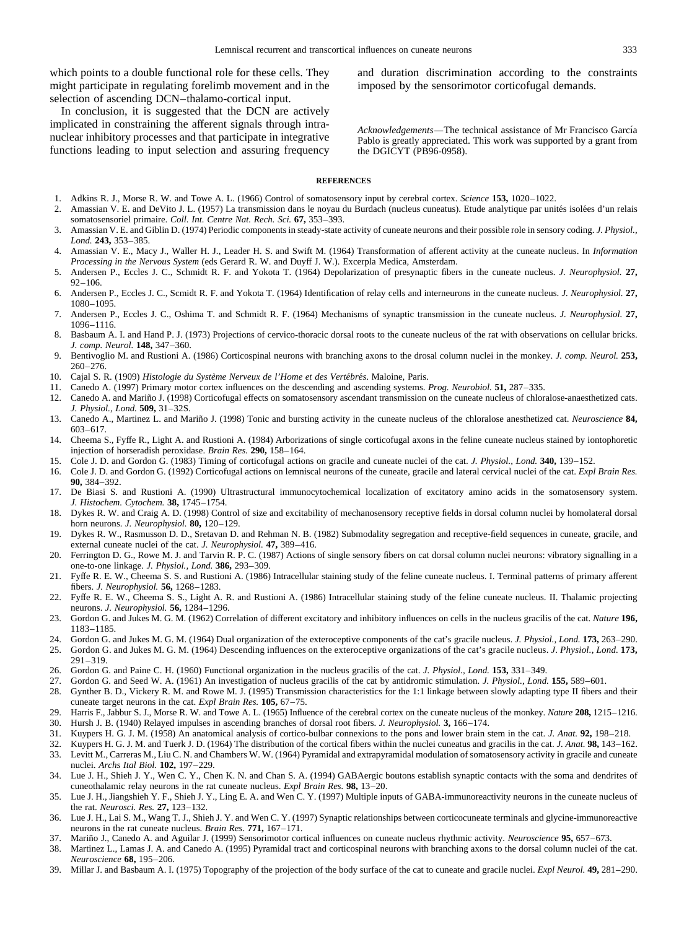which points to a double functional role for these cells. They might participate in regulating forelimb movement and in the selection of ascending DCN–thalamo-cortical input.

In conclusion, it is suggested that the DCN are actively implicated in constraining the afferent signals through intranuclear inhibitory processes and that participate in integrative functions leading to input selection and assuring frequency and duration discrimination according to the constraints imposed by the sensorimotor corticofugal demands.

*Acknowledgements*—The technical assistance of Mr Francisco García Pablo is greatly appreciated. This work was supported by a grant from the DGICYT (PB96-0958).

### **REFERENCES**

- 1. Adkins R. J., Morse R. W. and Towe A. L. (1966) Control of somatosensory input by cerebral cortex. *Science* **153,** 1020–1022.
- 2. Amassian V. E. and DeVito J. L. (1957) La transmission dans le noyau du Burdach (nucleus cuneatus). Etude analytique par unités isolées d'un relais somatosensoriel primaire. *Coll. Int. Centre Nat. Rech. Sci.* **67,** 353–393.
- 3. Amassian V. E. and Giblin D. (1974) Periodic components in steady-state activity of cuneate neurons and their possible role in sensory coding. *J. Physiol., Lond.* **243,** 353–385.
- 4. Amassian V. E., Macy J., Waller H. J., Leader H. S. and Swift M. (1964) Transformation of afferent activity at the cuneate nucleus. In *Information Processing in the Nervous System* (eds Gerard R. W. and Duyff J. W.). Excerpla Medica, Amsterdam.
- 5. Andersen P., Eccles J. C., Schmidt R. F. and Yokota T. (1964) Depolarization of presynaptic fibers in the cuneate nucleus. *J. Neurophysiol.* **27,**  $92 - 106$ .
- 6. Andersen P., Eccles J. C., Scmidt R. F. and Yokota T. (1964) Identification of relay cells and interneurons in the cuneate nucleus. *J. Neurophysiol.* **27,** 1080–1095.
- 7. Andersen P., Eccles J. C., Oshima T. and Schmidt R. F. (1964) Mechanisms of synaptic transmission in the cuneate nucleus. *J. Neurophysiol.* **27,** 1096–1116.
- 8. Basbaum A. I. and Hand P. J. (1973) Projections of cervico-thoracic dorsal roots to the cuneate nucleus of the rat with observations on cellular bricks. *J. comp. Neurol.* **148,** 347–360.
- 9. Bentivoglio M. and Rustioni A. (1986) Corticospinal neurons with branching axons to the drosal column nuclei in the monkey. *J. comp. Neurol.* **253,** 260–276.
- 10. Cajal S. R. (1909) *Histologie du Système Nerveux de l'Home et des Vertébrés*. Maloine, Paris.
- 11. Canedo A. (1997) Primary motor cortex influences on the descending and ascending systems. *Prog. Neurobiol.* **51,** 287–335.
- 12. Canedo A. and Mariño J. (1998) Corticofugal effects on somatosensory ascendant transmission on the cuneate nucleus of chloralose-anaesthetized cats. *J. Physiol., Lond.* **509,** 31–32S.
- 13. Canedo A., Martinez L. and Mariño J. (1998) Tonic and bursting activity in the cuneate nucleus of the chloralose anesthetized cat. *Neuroscience* 84, 603–617.
- 14. Cheema S., Fyffe R., Light A. and Rustioni A. (1984) Arborizations of single corticofugal axons in the feline cuneate nucleus stained by iontophoretic injection of horseradish peroxidase. *Brain Res.* **290,** 158–164.
- 15. Cole J. D. and Gordon G. (1983) Timing of corticofugal actions on gracile and cuneate nuclei of the cat. *J. Physiol., Lond.* **340,** 139–152.
- 16. Cole J. D. and Gordon G. (1992) Corticofugal actions on lemniscal neurons of the cuneate, gracile and lateral cervical nuclei of the cat. *Expl Brain Res.* **90,** 384–392.
- 17. De Biasi S. and Rustioni A. (1990) Ultrastructural immunocytochemical localization of excitatory amino acids in the somatosensory system. *J. Histochem. Cytochem.* **38,** 1745–1754.
- 18. Dykes R. W. and Craig A. D. (1998) Control of size and excitability of mechanosensory receptive fields in dorsal column nuclei by homolateral dorsal horn neurons. *J. Neurophysiol.* **80,** 120–129.
- 19. Dykes R. W., Rasmusson D. D., Sretavan D. and Rehman N. B. (1982) Submodality segregation and receptive-field sequences in cuneate, gracile, and external cuneate nuclei of the cat. *J. Neurophysiol.* **47,** 389–416.
- 20. Ferrington D. G., Rowe M. J. and Tarvin R. P. C. (1987) Actions of single sensory fibers on cat dorsal column nuclei neurons: vibratory signalling in a one-to-one linkage. *J. Physiol., Lond.* **386,** 293–309.
- 21. Fyffe R. E. W., Cheema S. S. and Rustioni A. (1986) Intracellular staining study of the feline cuneate nucleus. I. Terminal patterns of primary afferent fibers. *J. Neurophysiol.* **56,** 1268–1283.
- 22. Fyffe R. E. W., Cheema S. S., Light A. R. and Rustioni A. (1986) Intracellular staining study of the feline cuneate nucleus. II. Thalamic projecting neurons. *J. Neurophysiol.* **56,** 1284–1296.
- 23. Gordon G. and Jukes M. G. M. (1962) Correlation of different excitatory and inhibitory influences on cells in the nucleus gracilis of the cat. *Nature* **196,** 1183–1185.
- 24. Gordon G. and Jukes M. G. M. (1964) Dual organization of the exteroceptive components of the cat's gracile nucleus. *J. Physiol., Lond.* **173,** 263–290.
- 25. Gordon G. and Jukes M. G. M. (1964) Descending influences on the exteroceptive organizations of the cat's gracile nucleus. *J. Physiol., Lond.* **173,** 291–319.
- 26. Gordon G. and Paine C. H. (1960) Functional organization in the nucleus gracilis of the cat. *J. Physiol., Lond.* **153,** 331–349.
- 27. Gordon G. and Seed W. A. (1961) An investigation of nucleus gracilis of the cat by antidromic stimulation. *J. Physiol., Lond.* **155,** 589–601.
- 28. Gynther B. D., Vickery R. M. and Rowe M. J. (1995) Transmission characteristics for the 1:1 linkage between slowly adapting type II fibers and their cuneate target neurons in the cat. *Expl Brain Res.* **105,** 67–75.
- 29. Harris F., Jabbur S. J., Morse R. W. and Towe A. L. (1965) Influence of the cerebral cortex on the cuneate nucleus of the monkey. *Nature* **208,** 1215–1216. 30. Hursh J. B. (1940) Relayed impulses in ascending branches of dorsal root fibers. *J. Neurophysiol.* **3,** 166–174.
- 31. Kuypers H. G. J. M. (1958) An anatomical analysis of cortico-bulbar connexions to the pons and lower brain stem in the cat. *J. Anat.* **92,** 198–218.
- 32. Kuypers H. G. J. M. and Tuerk J. D. (1964) The distribution of the cortical fibers within the nuclei cuneatus and gracilis in the cat. *J. Anat.* **98,** 143–162.
- 33. Levitt M., Carreras M., Liu C. N. and Chambers W. W. (1964) Pyramidal and extrapyramidal modulation of somatosensory activity in gracile and cuneate nuclei. *Archs Ital Biol.* **102,** 197–229.
- 34. Lue J. H., Shieh J. Y., Wen C. Y., Chen K. N. and Chan S. A. (1994) GABAergic boutons establish synaptic contacts with the soma and dendrites of cuneothalamic relay neurons in the rat cuneate nucleus. *Expl Brain Res.* **98,** 13–20.
- 35. Lue J. H., Jiangshieh Y. F., Shieh J. Y., Ling E. A. and Wen C. Y. (1997) Multiple inputs of GABA-immunoreactivity neurons in the cuneate nucleus of the rat. *Neurosci. Res.* **27,** 123–132.
- 36. Lue J. H., Lai S. M., Wang T. J., Shieh J. Y. and Wen C. Y. (1997) Synaptic relationships between corticocuneate terminals and glycine-immunoreactive neurons in the rat cuneate nucleus. *Brain Res.* **771,** 167–171.
- 37. Marin˜o J., Canedo A. and Aguilar J. (1999) Sensorimotor cortical influences on cuneate nucleus rhythmic activity. *Neuroscience* **95,** 657–673.
- 38. Martinez L., Lamas J. A. and Canedo A. (1995) Pyramidal tract and corticospinal neurons with branching axons to the dorsal column nuclei of the cat. *Neuroscience* **68,** 195–206.
- 39. Millar J. and Basbaum A. I. (1975) Topography of the projection of the body surface of the cat to cuneate and gracile nuclei. *Expl Neurol.* **49,** 281–290.